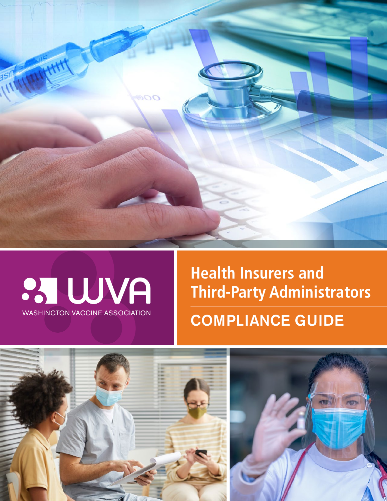



**Health Insurers and Third-Party Administrators** WASHINGTON VACCINE ASSOCIATION **COMPLIANCE GUIDE** 

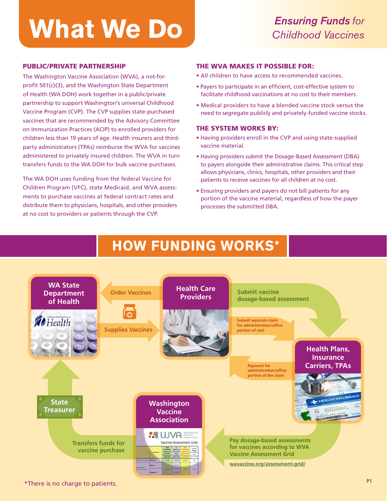# **What We Do** *Ensuring Funds for Childhood Vaccines*

#### PUBLIC/PRIVATE PARTNERSHIP

The Washington Vaccine Association (WVA), a not-forprofit 501(c)(3), and the Washington State Department of Health (WA DOH) work together in a public/private partnership to support Washington's universal Childhood Vaccine Program (CVP). The CVP supplies state-purchased vaccines that are recommended by the Advisory Committee on Immunization Practices (ACIP) to enrolled providers for children less than 19 years of age. Health insurers and thirdparty administrators (TPAs) reimburse the WVA for vaccines administered to privately insured children. The WVA in turn transfers funds to the WA DOH for bulk vaccine purchases.

The WA DOH uses funding from the federal Vaccine for Children Program (VFC), state Medicaid, and WVA assessments to purchase vaccines at federal contract rates and distribute them to physicians, hospitals, and other providers at no cost to providers or patients through the CVP.

#### THE WVA MAKES IT POSSIBLE FOR:

- All children to have access to recommended vaccines.
- Payers to participate in an efficient, cost-effective system to facilitate childhood vaccinations at no cost to their members.
- Medical providers to have a blended vaccine stock versus the need to segregate publicly and privately-funded vaccine stocks.

#### THE SYSTEM WORKS BY:

- Having providers enroll in the CVP and using state-supplied vaccine material.
- Having providers submit the Dosage-Based Assessment (DBA) to payers alongside their administrative claims. This critical step allows physicians, clinics, hospitals, other providers and their patients to receive vaccines for all children at no cost.
- Ensuring providers and payers do not bill patients for any portion of the vaccine material, regardless of how the payer processes the submitted DBA.

### **HOW FUNDING WORKS\* HOW FUNDING WORKS\***



\*There is no charge to patients.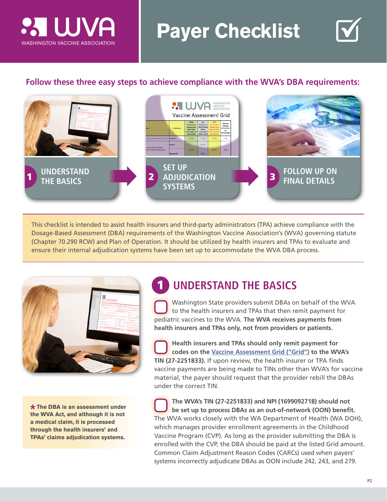

## **Payer Checklist**

### **Follow these three easy steps to achieve compliance with the WVA's DBA requirements:**



This checklist is intended to assist health insurers and third-party administrators (TPA) achieve compliance with the Dosage-Based Assessment (DBA) requirements of the Washington Vaccine Association's (WVA) governing statute (Chapter 70.290 RCW) and Plan of Operation. It should be utilized by health insurers and TPAs to evaluate and ensure their internal adjudication systems have been set up to accommodate the WVA DBA process.

1



**The DBA is an assessment under the WVA Act, and although it is not a medical claim, it is processed through the health insurers' and TPAs' claims adjudication systems.**

### **UNDERSTAND THE BASICS**

Washington State providers submit DBAs on behalf of the WVA to the health insurers and TPAs that then remit payment for pediatric vaccines to the WVA. **The WVA receives payments from health insurers and TPAs only, not from providers or patients.**

**Health insurers and TPAs should only remit payment for codes on the [Vaccine Assessment Grid \("Grid"\)](https://wavaccine.org/assessment-grid/) to the WVA's TIN (27-2251833).** If upon review, the health insurer or TPA finds vaccine payments are being made to TINs other than WVA's for vaccine material, the payer should request that the provider rebill the DBAs under the correct TIN.

**The WVA's TIN (27-2251833) and NPI (1699092718) should not be set up to process DBAs as an out-of-network (OON) benefit.**  The WVA works closely with the WA Department of Health (WA DOH), which manages provider enrollment agreements in the Childhood Vaccine Program (CVP). As long as the provider submitting the DBA is enrolled with the CVP, the DBA should be paid at the listed Grid amount. Common Claim Adjustment Reason Codes (CARCs) used when payers' systems incorrectly adjudicate DBAs as OON include 242, 243, and 279.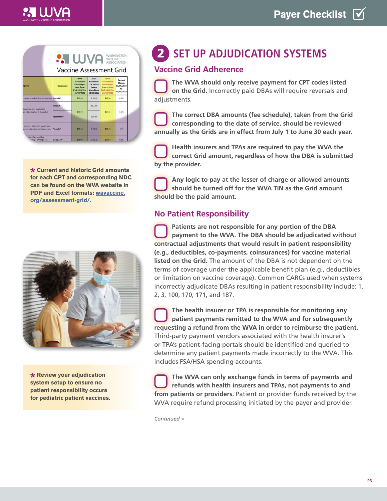### WASHINGTON VACCINE ASSOCIATION



**Current and historic Grid amounts for each CPT and corresponding NDC can be found on the WVA website in PDF and Excel formats: [wavaccine.](https://wavaccine.org/assessment-grid/) [org/assessment-grid/.](https://wavaccine.org/assessment-grid/)**



**Review your adjudication system setup to ensure no patient responsibility occurs for pediatric patient vaccines.**

### **2 SET UP ADJUDICATION SYSTEMS**

### **Vaccine Grid Adherence**

**The WVA should only receive payment for CPT codes listed on the Grid.** Incorrectly paid DBAs will require reversals and adjustments.

**The correct DBA amounts (fee schedule), taken from the Grid corresponding to the date of service, should be reviewed annually as the Grids are in effect from July 1 to June 30 each year.** 

**Health insurers and TPAs are required to pay the WVA the correct Grid amount, regardless of how the DBA is submitted by the provider.**

**Any logic to pay at the lesser of charge or allowed amounts should be turned off for the WVA TIN as the Grid amount should be the paid amount.**

### **No Patient Responsibility**

**Patients are not responsible for any portion of the DBA payment to the WVA. The DBA should be adjudicated without contractual adjustments that would result in patient responsibility (e.g., deductibles, co-payments, coinsurances) for vaccine material listed on the Grid.** The amount of the DBA is not dependent on the terms of coverage under the applicable benefit plan (e.g., deductibles or limitation on vaccine coverage). Common CARCs used when systems incorrectly adjudicate DBAs resulting in patient responsibility include: 1, 2, 3, 100, 170, 171, and 187.

**The health insurer or TPA is responsible for monitoring any patient payments remitted to the WVA and for subsequently requesting a refund from the WVA in order to reimburse the patient.**  Third-party payment vendors associated with the health insurer's or TPA's patient-facing portals should be identified and queried to determine any patient payments made incorrectly to the WVA. This includes FSA/HSA spending accounts.

**The WVA can only exchange funds in terms of payments and refunds with health insurers and TPAs, not payments to and from patients or providers.** Patient or provider funds received by the WVA require refund processing initiated by the payer and provider.

*Continued »*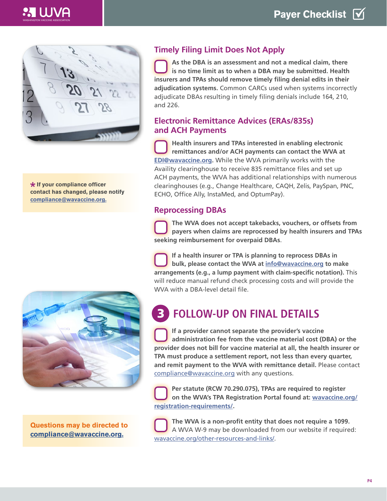

**If your compliance officer contact has changed, please notify [compliance@wavaccine.org.](mailto:compliance%40wavaccine.org?subject=Compliance%20Officer%20Changes)**



**Questions may be directed to compliance@wavaccine.org.**

### **Timely Filing Limit Does Not Apply**

**As the DBA is an assessment and not a medical claim, there is no time limit as to when a DBA may be submitted. Health insurers and TPAs should remove timely filing denial edits in their adjudication systems.** Common CARCs used when systems incorrectly adjudicate DBAs resulting in timely filing denials include 164, 210, and 226.

#### **Electronic Remittance Advices (ERAs/835s) and ACH Payments**

**Health insurers and TPAs interested in enabling electronic remittances and/or ACH payments can contact the WVA at [EDI@wavaccine.org](mailto:EDI%40wavaccine.org?subject=Enabling%20Electronic%20Remittances).** While the WVA primarily works with the Availity clearinghouse to receive 835 remittance files and set up ACH payments, the WVA has additional relationships with numerous clearinghouses (e.g., Change Healthcare, CAQH, Zelis, PaySpan, PNC, ECHO, Office Ally, InstaMed, and OptumPay).

### **Reprocessing DBAs**

**The WVA does not accept takebacks, vouchers, or offsets from payers when claims are reprocessed by health insurers and TPAs seeking reimbursement for overpaid DBAs**.

**If a health insurer or TPA is planning to reprocess DBAs in bulk, please contact the WVA at [info@wavaccine.org](mailto:info%40wavaccine.org?subject=Reprocess%20DBAs%20in%20Bulk) to make arrangements (e.g., a lump payment with claim-specific notation).** This will reduce manual refund check processing costs and will provide the WVA with a DBA-level detail file.

#### **FOLLOW-UP ON FINAL DETAILS** 3

**If a provider cannot separate the provider's vaccine administration fee from the vaccine material cost (DBA) or the provider does not bill for vaccine material at all, the health insurer or TPA must produce a settlement report, not less than every quarter, and remit payment to the WVA with remittance detail.** Please contact [compliance@wavaccine.org](mailto:compliance%40wavaccine.org?subject=General%20Question) with any questions.

**Per statute (RCW 70.290.075), TPAs are required to register on the WVA's TPA Registration Portal found at: [wavaccine.org/](http://wavaccine.org/registration-requirements/) [registration-requirements/.](http://wavaccine.org/registration-requirements/)**

**The WVA is a non-profit entity that does not require a 1099.** A WVA W-9 may be downloaded from our website if required: [wavaccine.org/other-resources-and-links/.](https://wavaccine.org/other-resources-and-links/)